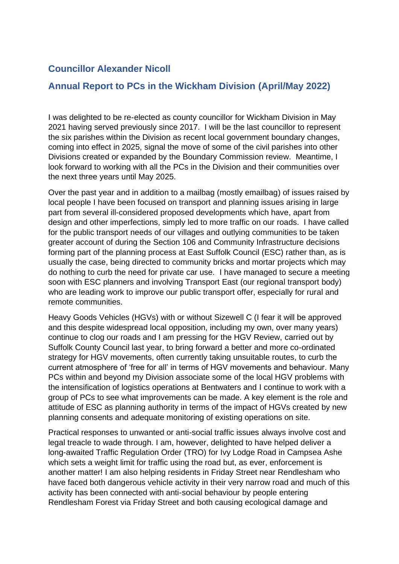## **Councillor Alexander Nicoll**

## **Annual Report to PCs in the Wickham Division (April/May 2022)**

I was delighted to be re-elected as county councillor for Wickham Division in May 2021 having served previously since 2017. I will be the last councillor to represent the six parishes within the Division as recent local government boundary changes, coming into effect in 2025, signal the move of some of the civil parishes into other Divisions created or expanded by the Boundary Commission review. Meantime, I look forward to working with all the PCs in the Division and their communities over the next three years until May 2025.

Over the past year and in addition to a mailbag (mostly emailbag) of issues raised by local people I have been focused on transport and planning issues arising in large part from several ill-considered proposed developments which have, apart from design and other imperfections, simply led to more traffic on our roads. I have called for the public transport needs of our villages and outlying communities to be taken greater account of during the Section 106 and Community Infrastructure decisions forming part of the planning process at East Suffolk Council (ESC) rather than, as is usually the case, being directed to community bricks and mortar projects which may do nothing to curb the need for private car use. I have managed to secure a meeting soon with ESC planners and involving Transport East (our regional transport body) who are leading work to improve our public transport offer, especially for rural and remote communities.

Heavy Goods Vehicles (HGVs) with or without Sizewell C (I fear it will be approved and this despite widespread local opposition, including my own, over many years) continue to clog our roads and I am pressing for the HGV Review, carried out by Suffolk County Council last year, to bring forward a better and more co-ordinated strategy for HGV movements, often currently taking unsuitable routes, to curb the current atmosphere of 'free for all' in terms of HGV movements and behaviour. Many PCs within and beyond my Division associate some of the local HGV problems with the intensification of logistics operations at Bentwaters and I continue to work with a group of PCs to see what improvements can be made. A key element is the role and attitude of ESC as planning authority in terms of the impact of HGVs created by new planning consents and adequate monitoring of existing operations on site.

Practical responses to unwanted or anti-social traffic issues always involve cost and legal treacle to wade through. I am, however, delighted to have helped deliver a long-awaited Traffic Regulation Order (TRO) for Ivy Lodge Road in Campsea Ashe which sets a weight limit for traffic using the road but, as ever, enforcement is another matter! I am also helping residents in Friday Street near Rendlesham who have faced both dangerous vehicle activity in their very narrow road and much of this activity has been connected with anti-social behaviour by people entering Rendlesham Forest via Friday Street and both causing ecological damage and